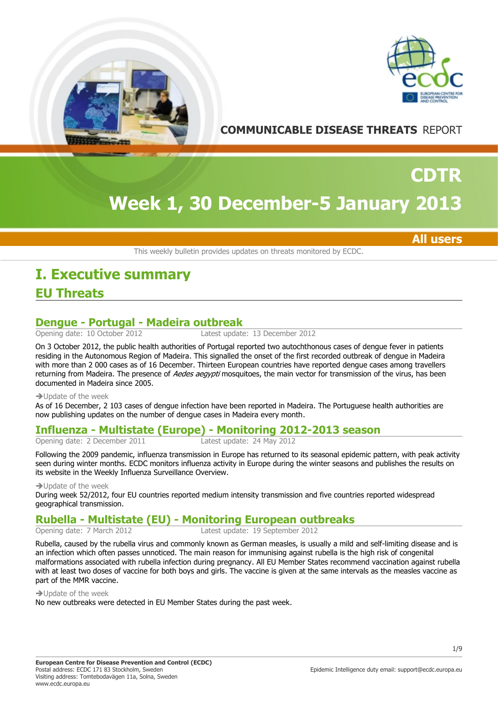



**COMMUNICABLE DISEASE THREATS** REPORT

# **Week 1, 30 December-5 January 2013**

**All users**

**CDTR**

This weekly bulletin provides updates on threats monitored by ECDC.

## **EU Threats I. Executive summary**

## **Dengue - Portugal - Madeira outbreak**<br>Opening date: 10 October 2012<br>Latest update

Latest update: 13 December 2012

On 3 October 2012, the public health authorities of Portugal reported two autochthonous cases of dengue fever in patients residing in the Autonomous Region of Madeira. This signalled the onset of the first recorded outbreak of dengue in Madeira with more than 2 000 cases as of 16 December. Thirteen European countries have reported dengue cases among travellers returning from Madeira. The presence of Aedes aegypti mosquitoes, the main vector for transmission of the virus, has been documented in Madeira since 2005.

#### $\rightarrow$  Update of the week

As of 16 December, 2 103 cases of dengue infection have been reported in Madeira. The Portuguese health authorities are now publishing updates on the number of dengue cases in Madeira every month.

## **Influenza - Multistate (Europe) - Monitoring 2012-2013 season**

Opening date: 2 December 2011

Following the 2009 pandemic, influenza transmission in Europe has returned to its seasonal epidemic pattern, with peak activity seen during winter months. ECDC monitors influenza activity in Europe during the winter seasons and publishes the results on its website in the Weekly Influenza Surveillance Overview.

 $\rightarrow$  Update of the week

During week 52/2012, four EU countries reported medium intensity transmission and five countries reported widespread geographical transmission.

## **Rubella - Multistate (EU) - Monitoring European outbreaks**

Latest update: 19 September 2012

Rubella, caused by the rubella virus and commonly known as German measles, is usually a mild and self-limiting disease and is an infection which often passes unnoticed. The main reason for immunising against rubella is the high risk of congenital malformations associated with rubella infection during pregnancy. All EU Member States recommend vaccination against rubella with at least two doses of vaccine for both boys and girls. The vaccine is given at the same intervals as the measles vaccine as part of the MMR vaccine.

 $\rightarrow$  Update of the week

No new outbreaks were detected in EU Member States during the past week.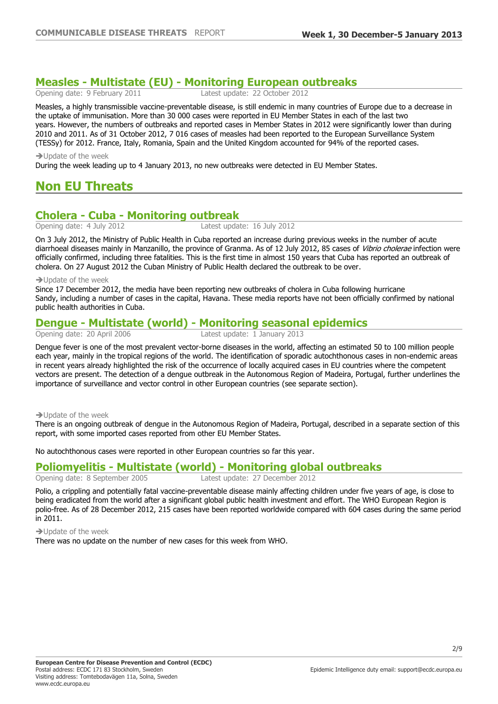## **Measles - Multistate (EU) - Monitoring European outbreaks**

Latest update: 22 October 2012

Measles, a highly transmissible vaccine-preventable disease, is still endemic in many countries of Europe due to a decrease in the uptake of immunisation. More than 30 000 cases were reported in EU Member States in each of the last two years. However, the numbers of outbreaks and reported cases in Member States in 2012 were significantly lower than during 2010 and 2011. As of 31 October 2012, 7 016 cases of measles had been reported to the European Surveillance System (TESSy) for 2012. France, Italy, Romania, Spain and the United Kingdom accounted for 94% of the reported cases.

#### $\rightarrow$  Update of the week

During the week leading up to 4 January 2013, no new outbreaks were detected in EU Member States.

## **Non EU Threats**

## **Cholera - Cuba - Monitoring outbreak**<br>Opening date: 4 July 2012<br>Latest update: 16 July 2012

Opening date: 4 July 2012

On 3 July 2012, the Ministry of Public Health in Cuba reported an increase during previous weeks in the number of acute diarrhoeal diseases mainly in Manzanillo, the province of Granma. As of 12 July 2012, 85 cases of *Vibrio cholerae* infection were officially confirmed, including three fatalities. This is the first time in almost 150 years that Cuba has reported an outbreak of cholera. On 27 August 2012 the Cuban Ministry of Public Health declared the outbreak to be over.

#### $\rightarrow$ Undate of the week

Since 17 December 2012, the media have been reporting new outbreaks of cholera in Cuba following hurricane Sandy, including a number of cases in the capital, Havana. These media reports have not been officially confirmed by national public health authorities in Cuba.

## **Dengue - Multistate (world) - Monitoring seasonal epidemics**<br>
Dening date: 20 April 2006<br>
Latest update: 1 January 2013

Latest update: 1 January 2013

Dengue fever is one of the most prevalent vector-borne diseases in the world, affecting an estimated 50 to 100 million people each year, mainly in the tropical regions of the world. The identification of sporadic autochthonous cases in non-endemic areas in recent years already highlighted the risk of the occurrence of locally acquired cases in EU countries where the competent vectors are present. The detection of a dengue outbreak in the Autonomous Region of Madeira, Portugal, further underlines the importance of surveillance and vector control in other European countries (see separate section).

#### $\rightarrow$  Update of the week

There is an ongoing outbreak of dengue in the Autonomous Region of Madeira, Portugal, described in a separate section of this report, with some imported cases reported from other EU Member States.

No autochthonous cases were reported in other European countries so far this year.

## **Poliomyelitis - Multistate (world) - Monitoring global outbreaks**

Latest update: 27 December 2012

Polio, a crippling and potentially fatal vaccine-preventable disease mainly affecting children under five years of age, is close to being eradicated from the world after a significant global public health investment and effort. The WHO European Region is polio-free. As of 28 December 2012, 215 cases have been reported worldwide compared with 604 cases during the same period in 2011.

 $\rightarrow$  Update of the week

There was no update on the number of new cases for this week from WHO.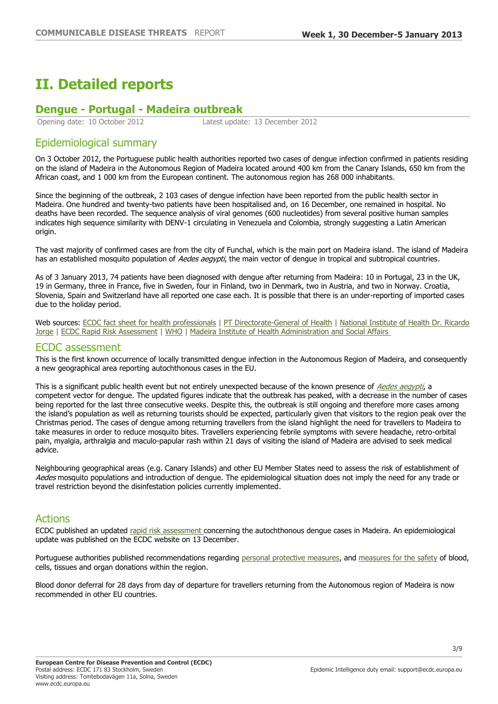## **II. Detailed reports**

### **Dengue - Portugal - Madeira outbreak**

Opening date: 10 October 2012 Latest update: 13 December 2012

#### Epidemiological summary

On 3 October 2012, the Portuguese public health authorities reported two cases of dengue infection confirmed in patients residing on the island of Madeira in the Autonomous Region of Madeira located around 400 km from the Canary Islands, 650 km from the African coast, and 1 000 km from the European continent. The autonomous region has 268 000 inhabitants.

Since the beginning of the outbreak, 2 103 cases of dengue infection have been reported from the public health sector in Madeira. One hundred and twenty-two patients have been hospitalised and, on 16 December, one remained in hospital. No deaths have been recorded. The sequence analysis of viral genomes (600 nucleotides) from several positive human samples indicates high sequence similarity with DENV-1 circulating in Venezuela and Colombia, strongly suggesting a Latin American origin.

The vast majority of confirmed cases are from the city of Funchal, which is the main port on Madeira island. The island of Madeira has an established mosquito population of Aedes aegypti, the main vector of dengue in tropical and subtropical countries.

As of 3 January 2013, 74 patients have been diagnosed with dengue after returning from Madeira: 10 in Portugal, 23 in the UK, 19 in Germany, three in France, five in Sweden, four in Finland, two in Denmark, two in Austria, and two in Norway. Croatia, Slovenia, Spain and Switzerland have all reported one case each. It is possible that there is an under-reporting of imported cases due to the holiday period.

Web sources: [ECDC fact sheet for health professionals](http://ecdc.europa.eu/en/healthtopics/dengue_fever/basic_facts/Pages/Factsheet_health_professionals.aspx) | [PT Directorate-General of Health](http://www.dgs.pt/) | National Institute of Health Dr. Ricardo [Jorge](http://www.insa.pt/sites/INSA/portugues/ComInf/Noticias/Paginas/DengueMadeiraDiaglab.aspx) | [ECDC Rapid Risk Assessment](http://www.ecdc.europa.eu/en/publications/Publications/Dengue-Madeira-Portugal-risk-assessment.pdf) | [WHO](http://www.who.int/csr/don/2012_10_17/en/index.html) | Madeira Institute of Health Administration and Social Affairs

#### ECDC assessment

This is the first known occurrence of locally transmitted dengue infection in the Autonomous Region of Madeira, and consequently a new geographical area reporting autochthonous cases in the EU.

This is a significant public health event but not entirely unexpected because of the known presence of [Aedes aegypti](http://ecdc.europa.eu/en/healthtopics/aedes_aegypti/Pages/index.aspx), a competent vector for dengue. The updated figures indicate that the outbreak has peaked, with a decrease in the number of cases being reported for the last three consecutive weeks. Despite this, the outbreak is still ongoing and therefore more cases among the island's population as well as returning tourists should be expected, particularly given that visitors to the region peak over the Christmas period. The cases of dengue among returning travellers from the island highlight the need for travellers to Madeira to take measures in order to reduce mosquito bites. Travellers experiencing febrile symptoms with severe headache, retro-orbital pain, myalgia, arthralgia and maculo-papular rash within 21 days of visiting the island of Madeira are advised to seek medical advice.

Neighbouring geographical areas (e.g. Canary Islands) and other EU Member States need to assess the risk of establishment of Aedes mosquito populations and introduction of dengue. The epidemiological situation does not imply the need for any trade or travel restriction beyond the disinfestation policies currently implemented.

#### Actions

ECDC published an updated [rapid risk assessment](http://ecdc.europa.eu/en/publications/Publications/dengue-madeira-risk-assessment-update.pdf) [c](http://ecdc.europa.eu/en/publications/Publications/dengue-madeira-risk-assessment-update.pdf)oncerning the autochthonous dengue cases in Madeira. An epidemiological update was published on the ECDC website on 13 December.

Portuguese authorities published recommendations regarding [personal protective measures,](http://www.sesaram.pt/index.php?option=com_content&view=article&id=1069%3Amosquito-&catid=192%3Ainformacoes&Itemid=417&lang=pt) and [measures for the safety](http://www.dgs.pt/?f=3&id=23047) of blood, cells, tissues and organ donations within the region.

Blood donor deferral for 28 days from day of departure for travellers returning from the Autonomous region of Madeira is now recommended in other EU countries.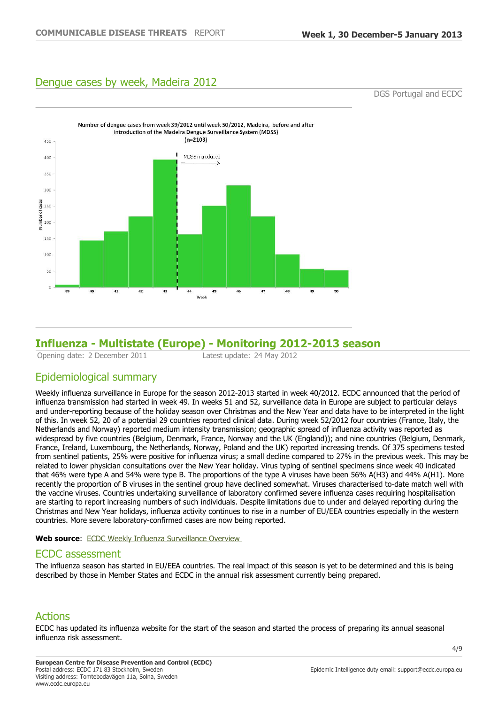### Dengue cases by week, Madeira 2012

DGS Portugal and ECDC



### **Influenza - Multistate (Europe) - Monitoring 2012-2013 season**

Opening date: 2 December 2011 Latest update: 24 May 2012

### Epidemiological summary

Weekly influenza surveillance in Europe for the season 2012-2013 started in week 40/2012. ECDC announced that the period of influenza transmission had started in week 49. In weeks 51 and 52, surveillance data in Europe are subject to particular delays and under-reporting because of the holiday season over Christmas and the New Year and data have to be interpreted in the light of this. In week 52, 20 of a potential 29 countries reported clinical data. During week 52/2012 four countries (France, Italy, the Netherlands and Norway) reported medium intensity transmission; geographic spread of influenza activity was reported as widespread by five countries (Belgium, Denmark, France, Norway and the UK (England)); and nine countries (Belgium, Denmark, France, Ireland, Luxembourg, the Netherlands, Norway, Poland and the UK) reported increasing trends. Of 375 specimens tested from sentinel patients, 25% were positive for influenza virus; a small decline compared to 27% in the previous week. This may be related to lower physician consultations over the New Year holiday. Virus typing of sentinel specimens since week 40 indicated that 46% were type A and 54% were type B. The proportions of the type A viruses have been 56% A(H3) and 44% A(H1). More recently the proportion of B viruses in the sentinel group have declined somewhat. Viruses characterised to-date match well with the vaccine viruses. Countries undertaking surveillance of laboratory confirmed severe influenza cases requiring hospitalisation are starting to report increasing numbers of such individuals. Despite limitations due to under and delayed reporting during the Christmas and New Year holidays, influenza activity continues to rise in a number of EU/EEA countries especially in the western countries. More severe laboratory-confirmed cases are now being reported.

Web source: ECDC Weekly Influenza Surveillance Overview

#### ECDC assessment

The influenza season has started in EU/EEA countries. The real impact of this season is yet to be determined and this is being described by those in Member States and ECDC in the annual risk assessment currently being prepared.

### Actions

ECDC has updated its influenza website for the start of the season and started the process of preparing its annual seasonal influenza risk assessment.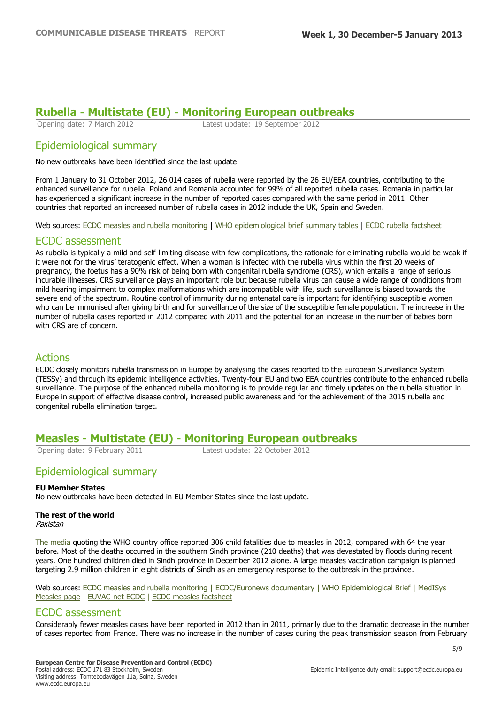# **Rubella - Multistate (EU) - Monitoring European outbreaks**

Latest update: 19 September 2012

#### Epidemiological summary

No new outbreaks have been identified since the last update.

From 1 January to 31 October 2012, 26 014 cases of rubella were reported by the 26 EU/EEA countries, contributing to the enhanced surveillance for rubella. Poland and Romania accounted for 99% of all reported rubella cases. Romania in particular has experienced a significant increase in the number of reported cases compared with the same period in 2011. Other countries that reported an increased number of rubella cases in 2012 include the UK, Spain and Sweden.

Web sources: [ECDC measles and rubella monitoring](http://ecdc.europa.eu/en/publications/Publications/measles-rubella-monthly-surveillance-dec-2012.pdf) | [WHO epidemiological brief summary tables](http://www.euro.who.int/__data/assets/pdf_file/0020/170516/Epi-Brief-Summary-Tables-01-Aug-2012.pdf) | [ECDC rubella factsheet](http://ecdc.europa.eu/EN/HEALTHTOPICS/RUBELLA/Pages/index.aspx)

#### ECDC assessment

As rubella is typically a mild and self-limiting disease with few complications, the rationale for eliminating rubella would be weak if it were not for the virus' teratogenic effect. When a woman is infected with the rubella virus within the first 20 weeks of pregnancy, the foetus has a 90% risk of being born with congenital rubella syndrome (CRS), which entails a range of serious incurable illnesses. CRS surveillance plays an important role but because rubella virus can cause a wide range of conditions from mild hearing impairment to complex malformations which are incompatible with life, such surveillance is biased towards the severe end of the spectrum. Routine control of immunity during antenatal care is important for identifying susceptible women who can be immunised after giving birth and for surveillance of the size of the susceptible female population. The increase in the number of rubella cases reported in 2012 compared with 2011 and the potential for an increase in the number of babies born with CRS are of concern.

#### Actions

ECDC closely monitors rubella transmission in Europe by analysing the cases reported to the European Surveillance System (TESSy) and through its epidemic intelligence activities. Twenty-four EU and two EEA countries contribute to the enhanced rubella surveillance. The purpose of the enhanced rubella monitoring is to provide regular and timely updates on the rubella situation in Europe in support of effective disease control, increased public awareness and for the achievement of the 2015 rubella and congenital rubella elimination target.

## **Measles - Multistate (EU) - Monitoring European outbreaks**<br>
Opening date: 9 February 2011<br>
Latest update: 22 October 2012

Latest update: 22 October 2012

#### Epidemiological summary

#### **EU Member States**

No new outbreaks have been detected in EU Member States since the last update.

#### **The rest of the world**

Pakistan

[The media](http://www.naharnet.com/stories/en/66684-pakistan-child-measles-deaths-surge-in-2012) quoting the WHO country office reported 306 child fatalities due to measles in 2012, compared with 64 the vear before. Most of the deaths occurred in the southern Sindh province (210 deaths) that was devastated by floods during recent years. One hundred children died in Sindh province in December 2012 alone. A large measles vaccination campaign is planned targeting 2.9 million children in eight districts of Sindh as an emergency response to the outbreak in the province.

Web sources: [ECDC measles and rubella monitoring](http://ecdc.europa.eu/en/publications/Publications/measles-rubella-monthly-surveillance-dec-2012.pdf) | [ECDC/Euronews documentary](http://prod-euronews.euronews.net/2012/03/26/eliminating-measles-personal-stories) | [WHO Epidemiological Brief](http://www.euro.who.int/en/what-we-do/health-topics/disease-prevention/vaccines-and-immunization/publications/who-epidemiological-brief) | MedISys [Measles page](https://medisys.jrc.it/medisys/dynamic?language=en&page=1&edition=alertedition&option=Measles§ion=diseases) | [EUVAC-net ECDC](http://ecdc.europa.eu/EN/ACTIVITIES/SURVEILLANCE/EUVAC/Pages/index.aspx) | [ECDC measles factsheet](http://ecdc.europa.eu/en/healthtopics/measles/Pages/index.aspx)

#### ECDC assessment

Considerably fewer measles cases have been reported in 2012 than in 2011, primarily due to the dramatic decrease in the number of cases reported from France. There was no increase in the number of cases during the peak transmission season from February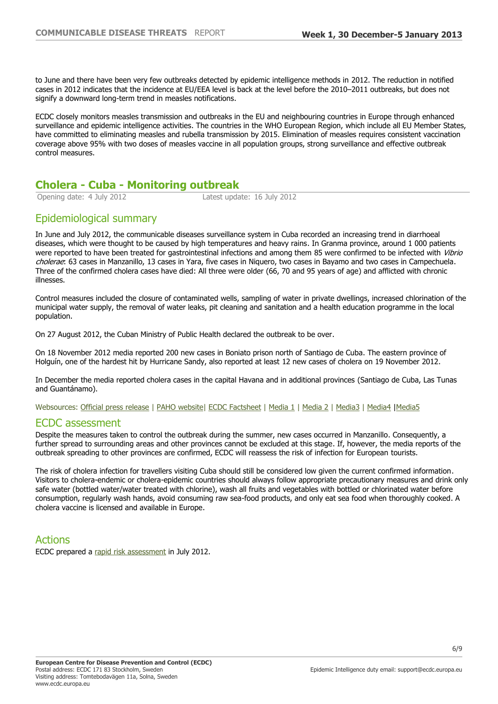to June and there have been very few outbreaks detected by epidemic intelligence methods in 2012. The reduction in notified cases in 2012 indicates that the incidence at EU/EEA level is back at the level before the 2010–2011 outbreaks, but does not signify a downward long-term trend in measles notifications.

ECDC closely monitors measles transmission and outbreaks in the EU and neighbouring countries in Europe through enhanced surveillance and epidemic intelligence activities. The countries in the WHO European Region, which include all EU Member States, have committed to eliminating measles and rubella transmission by 2015. Elimination of measles requires consistent vaccination coverage above 95% with two doses of measles vaccine in all population groups, strong surveillance and effective outbreak control measures.

# **Cholera - Cuba - Monitoring outbreak**

Latest update: 16 July 2012

### Epidemiological summary

In June and July 2012, the communicable diseases surveillance system in Cuba recorded an increasing trend in diarrhoeal diseases, which were thought to be caused by high temperatures and heavy rains. In Granma province, around 1 000 patients were reported to have been treated for gastrointestinal infections and among them 85 were confirmed to be infected with Vibrio cholerae: 63 cases in Manzanillo, 13 cases in Yara, five cases in Niquero, two cases in Bayamo and two cases in Campechuela. Three of the confirmed cholera cases have died: All three were older (66, 70 and 95 years of age) and afflicted with chronic illnesses.

Control measures included the closure of contaminated wells, sampling of water in private dwellings, increased chlorination of the municipal water supply, the removal of water leaks, pit cleaning and sanitation and a health education programme in the local population.

On 27 August 2012, the Cuban Ministry of Public Health declared the outbreak to be over.

On 18 November 2012 media reported 200 new cases in Boniato prison north of Santiago de Cuba. The eastern province of Holguín, one of the hardest hit by Hurricane Sandy, also reported at least 12 new cases of cholera on 19 November 2012.

In December the media reported cholera cases in the capital Havana and in additional provinces (Santiago de Cuba, Las Tunas and Guantánamo).

Websources: [Official press release](http://www.granma.cubaweb.cu/2012/07/03/nacional/artic09.html) | [PAHO website](http://www2.paho.org/hq/index.php?option=com_docman&task=doc_view&gid=18216&Itemid=1091)| [ECDC Factsheet](http://www.ecdc.europa.eu/EN/HEALTHTOPICS/CHOLERA/Pages/index.aspx) | [Media 1](http://neoclubpress.com/ciencia-y-tecnologia/salud/4233-cc3b3lera-en-cuba3a-ministerio-de-salud-pc3bablica-retiene-alerta-turc3adstica.html) | [Media 2](http://www.elnuevoherald.com/2012/12/18/1366554/decenas-de-casos-de-colera-en.html) | [Media3](http://www.martinoticias.com/content/cuba-oriente-boniato-colera-/16740.html) | [Media4](http://cafefuerte.com/cuba/noticias-de-cuba/sociedad/2352-repunte-de-colera-en-el-oriente-cubano-12-casos-reportados-en-sagua-de-tanamo) |[Media5](http://ens-newswire.com/2012/12/26/cholera-spreads-in-cuba-after-hurricane-sandy/)

#### ECDC assessment

Despite the measures taken to control the outbreak during the summer, new cases occurred in Manzanillo. Consequently, a further spread to surrounding areas and other provinces cannot be excluded at this stage. If, however, the media reports of the outbreak spreading to other provinces are confirmed, ECDC will reassess the risk of infection for European tourists.

The risk of cholera infection for travellers visiting Cuba should still be considered low given the current confirmed information. Visitors to cholera-endemic or cholera-epidemic countries should always follow appropriate precautionary measures and drink only safe water (bottled water/water treated with chlorine), wash all fruits and vegetables with bottled or chlorinated water before consumption, regularly wash hands, avoid consuming raw sea-food products, and only eat sea food when thoroughly cooked. A cholera vaccine is licensed and available in Europe.

#### Actions

ECDC prepared a [rapid risk assessment](http://www.ecdc.europa.eu/en/publications/Publications/Forms/ECDC_DispForm.aspx?ID=925) in July 2012.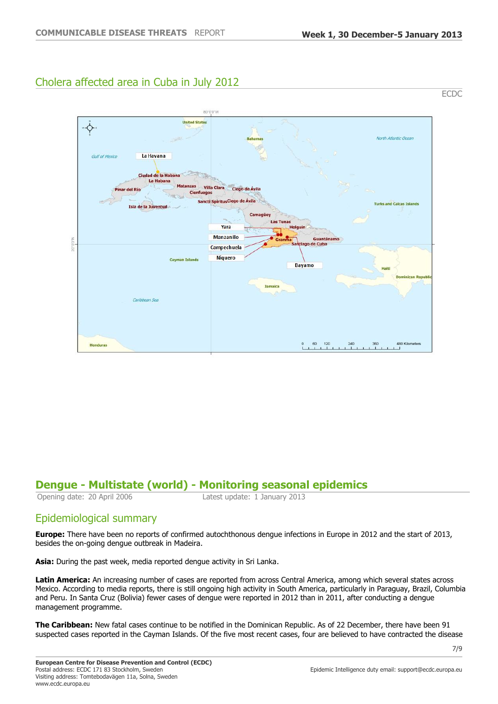### Cholera affected area in Cuba in July 2012



### **Dengue - Multistate (world) - Monitoring seasonal epidemics**

Opening date: 20 April 2006 Latest update: 1 January 2013

### Epidemiological summary

**Europe:** There have been no reports of confirmed autochthonous dengue infections in Europe in 2012 and the start of 2013, besides the on-going dengue outbreak in Madeira.

**Asia:** During the past week, media reported dengue activity in Sri Lanka.

**Latin America:** An increasing number of cases are reported from across Central America, among which several states across Mexico. According to media reports, there is still ongoing high activity in South America, particularly in Paraguay, Brazil, Columbia and Peru. In Santa Cruz (Bolivia) fewer cases of dengue were reported in 2012 than in 2011, after conducting a dengue management programme.

**The Caribbean:** New fatal cases continue to be notified in the Dominican Republic. As of 22 December, there have been 91 suspected cases reported in the Cayman Islands. Of the five most recent cases, four are believed to have contracted the disease

7/9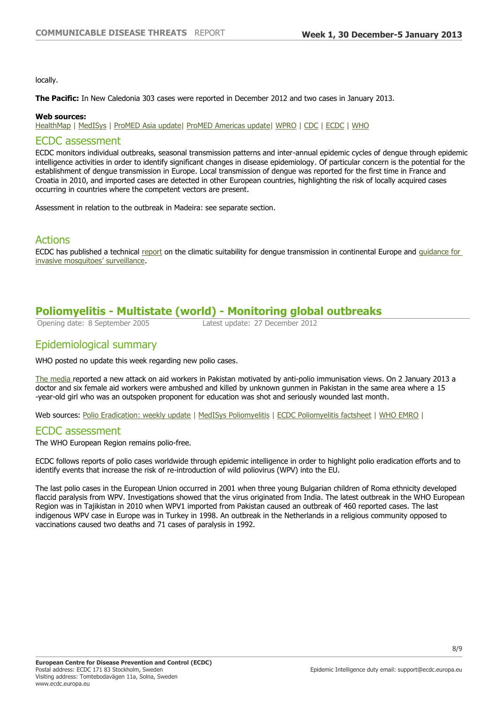locally.

**The Pacific:** In New Caledonia 303 cases were reported in December 2012 and two cases in January 2013.

#### **Web sources:**

[HealthMap](http://www.healthmap.org/dengue/index.php) | [MedISys](https://medisys.jrc.it/medisys/alertedition/diseases/en/DengueFever.html) | [ProMED Asia update|](http://www.promedmail.org/direct.php?id=20121231.1476782) [ProMED Americas update](http://www.promedmail.org/direct.php?id=20121231.1475357)| [WPRO](http://www.wpro.who.int/emerging_diseases/DengueSituationUpdates/en/index.html) | [CDC](http://www.cdc.gov/dengue/resources/wklyrpt_eng/wklyrpt_eng.pdf) | [ECDC](http://ecdc.europa.eu/EN/HEALTHTOPICS/DENGUE_FEVER/Pages/index.aspx) | [WHO](http://www.who.int/denguecontrol/9789241504034/en/index.html)

#### ECDC assessment

ECDC monitors individual outbreaks, seasonal transmission patterns and inter-annual epidemic cycles of dengue through epidemic intelligence activities in order to identify significant changes in disease epidemiology. Of particular concern is the potential for the establishment of dengue transmission in Europe. Local transmission of dengue was reported for the first time in France and Croatia in 2010, and imported cases are detected in other European countries, highlighting the risk of locally acquired cases occurring in countries where the competent vectors are present.

Assessment in relation to the outbreak in Madeira: see separate section.

#### Actions

ECDC has published a technical [report](http://ecdc.europa.eu/en/publications/Publications/TER-Climatic-suitablility-dengue.pdf) on the climatic suitability for dengue transmission in continental Europe and guidance for [invasive mosquitoes' surveillance](http://ecdc.europa.eu/en/healthtopics/vector-borne_diseases/public_health_measures/Pages/mosquito-guidelines.aspx).

### **Poliomyelitis - Multistate (world) - Monitoring global outbreaks**

Opening date: 8 September 2005 Latest update: 27 December 2012

### Epidemiological summary

WHO posted no update this week regarding new polio cases.

[The media](http://www.canada.com/news/Bulletriddled+bodies+militants+found+dumped+road+northwest+Pakistan/7760073/story.html) reported a new attack on aid workers in Pakistan motivated by anti-polio immunisation views. On 2 January 2013 a doctor and six female aid workers were ambushed and killed by unknown gunmen in Pakistan in the same area where a 15 -year-old girl who was an outspoken proponent for education was shot and seriously wounded last month.

Web sources: [Polio Eradication: weekly update](http://www.polioeradication.org/Dataandmonitoring/Poliothisweek.aspx) | [MedISys Poliomyelitis](https://medisys.jrc.it/medisys/alertedition/diseases/en/Poliomyelitis.html) | [ECDC Poliomyelitis factsheet](http://ecdc.europa.eu/en/healthtopics/polio/Pages/index.aspx) | [WHO EMRO](http://www.emro.who.int/pakistan-press-releases/2012/who-and-unicef-condemn-attacks-on-health-workers-in-pakistan.html) |

#### ECDC assessment

The WHO European Region remains polio-free.

ECDC follows reports of polio cases worldwide through epidemic intelligence in order to highlight polio eradication efforts and to identify events that increase the risk of re-introduction of wild poliovirus (WPV) into the EU.

The last polio cases in the European Union occurred in 2001 when three young Bulgarian children of Roma ethnicity developed flaccid paralysis from WPV. Investigations showed that the virus originated from India. The latest outbreak in the WHO European Region was in Tajikistan in 2010 when WPV1 imported from Pakistan caused an outbreak of 460 reported cases. The last indigenous WPV case in Europe was in Turkey in 1998. An outbreak in the Netherlands in a religious community opposed to vaccinations caused two deaths and 71 cases of paralysis in 1992.